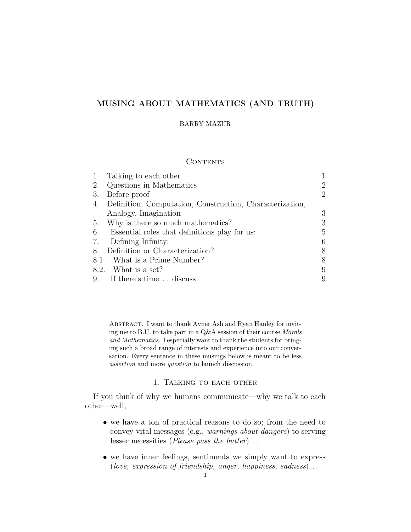# MUSING ABOUT MATHEMATICS (AND TRUTH)

### BARRY MAZUR

## CONTENTS

| 1. | Talking to each other                                    |   |
|----|----------------------------------------------------------|---|
| 2. | Questions in Mathematics                                 | 2 |
| 3. | Before proof                                             | 2 |
| 4. | Definition, Computation, Construction, Characterization, |   |
|    | Analogy, Imagination                                     | 3 |
| 5. | Why is there so much mathematics?                        | 3 |
| 6. | Essential roles that definitions play for us:            | 5 |
| 7. | Defining Infinity:                                       | 6 |
| 8. | Definition or Characterization?                          | 8 |
|    | 8.1. What is a Prime Number?                             | 8 |
|    | 8.2. What is a set?                                      | 9 |
|    | 9. If there's time discuss                               | 9 |

ABSTRACT. I want to thank Avner Ash and Ryan Hanley for inviting me to B.U. to take part in a Q&A session of their course Morals and Mathematics. I especially want to thank the students for bringing such a broad range of interests and experience into our conversation. Every sentence in these musings below is meant to be less assertion and more question to launch discussion.

## 1. Talking to each other

If you think of why we humans communicate—why we talk to each other—well,

- we have a ton of practical reasons to do so; from the need to convey vital messages (e.g., warnings about dangers) to serving lesser necessities (*Please pass the butter*)...
- we have inner feelings, sentiments we simply want to express (love, expression of friendship, anger, happiness, sadness). . .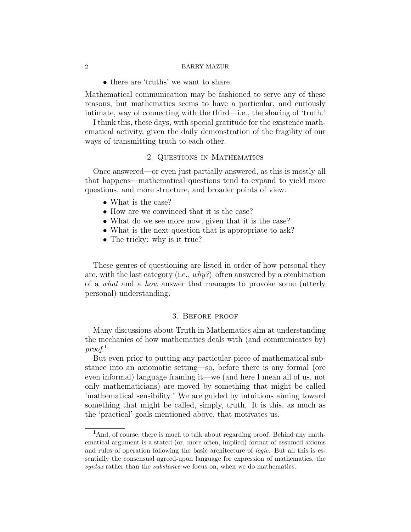• there are 'truths' we want to share.

Mathematical communication may be fashioned to serve any of these reasons, but mathematics seems to have a particular, and curiously intimate, way of connecting with the third—i.e., the sharing of 'truth.'

I think this, these days, with special gratitude for the existence mathematical activity, given the daily demonstration of the fragility of our ways of transmitting truth to each other.

## 2. Questions in Mathematics

Once answered—or even just partially answered, as this is mostly all that happens—mathematical questions tend to expand to yield more questions, and more structure, and broader points of view.

- What is the case?
- How are we convinced that it is the case?
- What do we see more now, given that it is the case?
- What is the next question that is appropriate to ask?
- The tricky: why is it true?

These genres of questioning are listed in order of how personal they are, with the last category (i.e.,  $why^2$ ) often answered by a combination of a what and a how answer that manages to provoke some (utterly personal) understanding.

#### 3. Before proof

Many discussions about Truth in Mathematics aim at understanding the mechanics of how mathematics deals with (and communicates by) proof. 1

But even prior to putting any particular piece of mathematical substance into an axiomatic setting—so, before there is any formal (ore even informal) language framing it—we (and here I mean all of us, not only mathematicians) are moved by something that might be called 'mathematical sensibility.' We are guided by intuitions aiming toward something that might be called, simply, truth. It is this, as much as the 'practical' goals mentioned above, that motivates us.

<sup>&</sup>lt;sup>1</sup>And, of course, there is much to talk about regarding proof. Behind any mathematical argument is a stated (or, more often, implied) format of assumed axioms and rules of operation following the basic architecture of *logic*. But all this is essentially the consensual agreed-upon language for expression of mathematics, the syntax rather than the *substance* we focus on, when we do mathematics.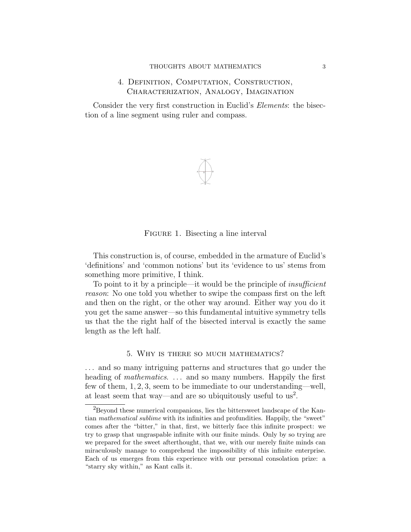# 4. Definition, Computation, Construction, Characterization, Analogy, Imagination

Consider the very first construction in Euclid's *Elements*: the bisection of a line segment using ruler and compass.



### FIGURE 1. Bisecting a line interval

This construction is, of course, embedded in the armature of Euclid's 'definitions' and 'common notions' but its 'evidence to us' stems from something more primitive, I think.

To point to it by a principle—it would be the principle of *insufficient* reason: No one told you whether to swipe the compass first on the left and then on the right, or the other way around. Either way you do it you get the same answer—so this fundamental intuitive symmetry tells us that the the right half of the bisected interval is exactly the same length as the left half.

#### 5. Why is there so much mathematics?

. . . and so many intriguing patterns and structures that go under the heading of *mathematics*. ... and so many numbers. Happily the first few of them, 1, 2, 3, seem to be immediate to our understanding—well, at least seem that way—and are so ubiquitously useful to  $us^2$ .

<sup>2</sup>Beyond these numerical companions, lies the bittersweet landscape of the Kantian mathematical sublime with its infinities and profundities. Happily, the "sweet" comes after the "bitter," in that, first, we bitterly face this infinite prospect: we try to grasp that ungraspable infinite with our finite minds. Only by so trying are we prepared for the sweet afterthought, that we, with our merely finite minds can miraculously manage to comprehend the impossibility of this infinite enterprise. Each of us emerges from this experience with our personal consolation prize: a "starry sky within," as Kant calls it.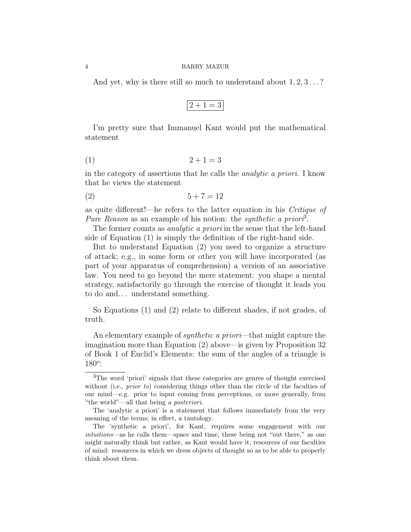And yet, why is there still so much to understand about  $1, 2, 3, \ldots$ ?

$$
2 + 1 = 3
$$

I'm pretty sure that Immanuel Kant would put the mathematical statement

$$
(1) \qquad \qquad 2+1=3
$$

in the category of assertions that he calls the analytic a priori. I know that he views the statement

$$
(2) \qquad \qquad 5+7=12
$$

as quite different!—he refers to the latter equation in his Critique of Pure Reason as an example of his notion: the synthetic a priori<sup>3</sup>.

The former counts as *analytic a priori* in the sense that the left-hand side of Equation (1) is simply the definition of the right-hand side.

But to understand Equation (2) you need to organize a structure of attack; e.g., in some form or other you will have incorporated (as part of your apparatus of comprehension) a version of an associative law. You need to go beyond the mere statement: you shape a mental strategy, satisfactorily go through the exercise of thought it leads you to do and. . . understand something.

So Equations (1) and (2) relate to different shades, if not grades, of truth.

An elementary example of *synthetic a priori*—that might capture the imagination more than Equation (2) above—is given by Proposition 32 of Book 1 of Euclid's Elements: the sum of the angles of a triangle is  $180^o$ :

<sup>3</sup>The word 'priori' signals that these categories are genres of thought exercised without (i.e., *prior to*) considering things other than the circle of the faculties of our mind—e.g. prior to input coming from perceptions, or more generally, from "the world"—all that being a posteriori.

The 'analytic a priori' is a statement that follows immediately from the very meaning of the terms; in effect, a tautology.

The 'synthetic a priori', for Kant, requires some engagement with our intuitions—as he calls them—space and time, these being not "out there," as one might naturally think but rather, as Kant would have it, resources of our faculties of mind: resources in which we dress objects of thought so as to be able to properly think about them.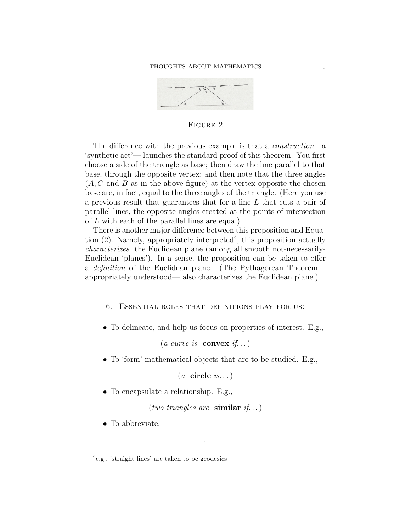

FIGURE 2

 $1$  $\mathcal{L}$ The difference with the previous example is that a *construction*—a 'synthetic act'— launches the standard proof of this theorem. You first choose a side of the triangle as base; then draw the line parallel to that base, through the opposite vertex; and then note that the three angles  $(A, C, A)$  and B as in the above figure) at the vertex opposite the chosen base are, in fact, equal to the three angles of the triangle. (Here you use a previous result that guarantees that for a line L that cuts a pair of parallel lines, the opposite angles created at the points of intersection of L with each of the parallel lines are equal).

There is another major difference between this proposition and Equation  $(2)$ . Namely, appropriately interpreted<sup>4</sup>, this proposition actually characterizes the Euclidean plane (among all smooth not-necessarily-Euclidean 'planes'). In a sense, the proposition can be taken to offer a definition of the Euclidean plane. (The Pythagorean Theorem appropriately understood— also characterizes the Euclidean plane.)

- 6. Essential roles that definitions play for us:
- To delineate, and help us focus on properties of interest. E.g.,

(*a curve is* **convex** *if...*)

• To 'form' mathematical objects that are to be studied. E.g.,

 $(a \text{ circle } is...)$ 

• To encapsulate a relationship. E.g.,

(two triangles are similar if...)

. . .

• To abbreviate.

<sup>4</sup> e.g., 'straight lines' are taken to be geodesics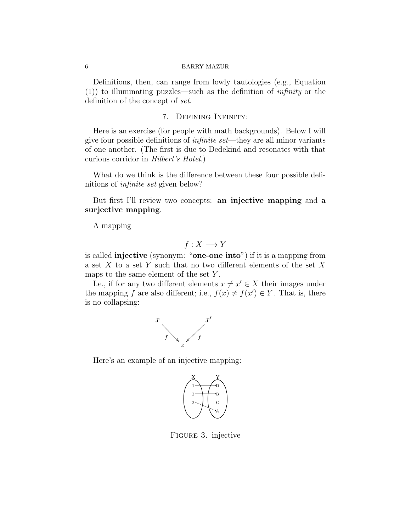Definitions, then, can range from lowly tautologies (e.g., Equation  $(1)$ ) to illuminating puzzles—such as the definition of *infinity* or the definition of the concept of set.

## 7. Defining Infinity:

Here is an exercise (for people with math backgrounds). Below I will give four possible definitions of infinite set—they are all minor variants of one another. (The first is due to Dedekind and resonates with that curious corridor in Hilbert's Hotel.)

What do we think is the difference between these four possible definitions of infinite set given below?

But first I'll review two concepts: an injective mapping and a surjective mapping.

A mapping

$$
f: X \longrightarrow Y
$$

is called injective (synonym: "one-one into") if it is a mapping from a set X to a set Y such that no two different elements of the set X maps to the same element of the set Y.

I.e., if for any two different elements  $x \neq x' \in X$  their images under the mapping f are also different; i.e.,  $f(x) \neq f(x') \in Y$ . That is, there is no collapsing:



Here's an example of an injective mapping:



Figure 3. injective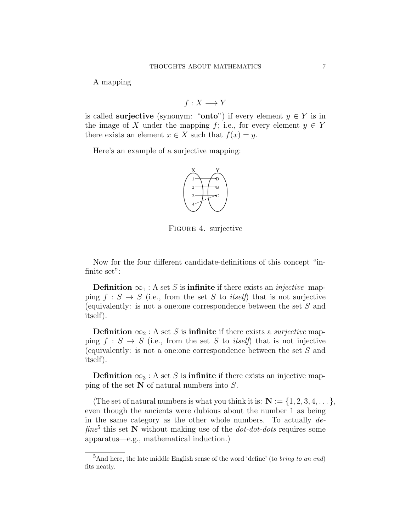A mapping

$$
f: X \longrightarrow Y
$$

is called **surjective** (synonym: "**onto**") if every element  $y \in Y$  is in the image of X under the mapping f; i.e., for every element  $y \in Y$ there exists an element  $x \in X$  such that  $f(x) = y$ .

Here's an example of a surjective mapping:



Figure 4. surjective

Now for the four different candidate-definitions of this concept "infinite set":

**Definition**  $\infty_1$ : A set S is **infinite** if there exists an *injective* mapping  $f : S \to S$  (i.e., from the set S to *itself*) that is not surjective (equivalently: is not a one:one correspondence between the set S and itself).

**Definition**  $\infty_2$ : A set S is **infinite** if there exists a *surjective* mapping  $f : S \to S$  (i.e., from the set S to *itself*) that is not injective (equivalently: is not a one:one correspondence between the set S and itself).

**Definition**  $\infty_3$ : A set S is **infinite** if there exists an injective mapping of the set  $N$  of natural numbers into  $S$ .

(The set of natural numbers is what you think it is:  $N := \{1, 2, 3, 4, \dots\}$ , even though the ancients were dubious about the number 1 as being in the same category as the other whole numbers. To actually de- $\int$ fine<sup>5</sup> this set N without making use of the *dot-dot-dots* requires some apparatus—e.g., mathematical induction.)

 ${}^{5}$ And here, the late middle English sense of the word 'define' (to *bring to an end*) fits neatly.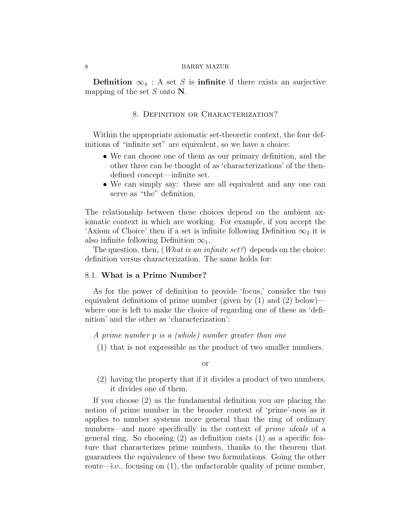**Definition**  $\infty$ <sub>4</sub> : A set S is **infinite** if there exists an surjective mapping of the set  $S$  onto  $N$ .

## 8. DEFINITION OR CHARACTERIZATION?

Within the appropriate axiomatic set-theoretic context, the four definitions of "infinite set" are equivalent, so we have a choice:

- We can choose one of them as our primary definition, and the other three can be thought of as 'characterizations' of the thendefined concept—infinite set.
- We can simply say: these are all equivalent and any one can serve as "the" definition.

The relationship between these choices depend on the ambient axiomatic context in which are working. For example, if you accept the 'Axiom of Choice' then if a set is infinite following Definition  $\infty_2$  it is also infinite following Definition  $\infty_1$ .

The question, then, (*What is an infinite set?*) depends on the choice: definition versus characterization. The same holds for:

## 8.1. What is a Prime Number?

As for the power of definition to provide 'focus,' consider the two equivalent definitions of prime number (given by  $(1)$  and  $(2)$  below) where one is left to make the choice of regarding one of these as 'definition' and the other as 'characterization':

A prime number p is a (whole) number greater than one

(1) that is not expressible as the product of two smaller numbers.

or

(2) having the property that if it divides a product of two numbers, it divides one of them.

If you choose (2) as the fundamental definition you are placing the notion of prime number in the broader context of 'prime'-ness as it applies to number systems more general than the ring of ordinary numbers—and more specifically in the context of *prime ideals* of a general ring. So choosing (2) as definition casts (1) as a specific feature that characterizes prime numbers, thanks to the theorem that guarantees the equivalence of these two formulations. Going the other route—i.e., focusing on (1), the unfactorable quality of prime number,